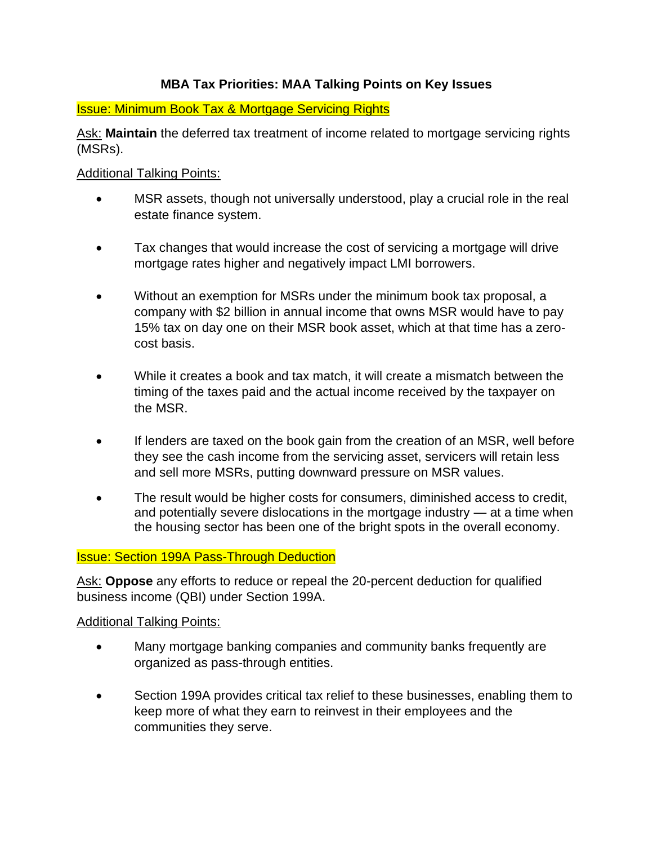# **MBA Tax Priorities: MAA Talking Points on Key Issues**

## Issue: Minimum Book Tax & Mortgage Servicing Rights

Ask: **Maintain** the deferred tax treatment of income related to mortgage servicing rights (MSRs).

## Additional Talking Points:

- MSR assets, though not universally understood, play a crucial role in the real estate finance system.
- Tax changes that would increase the cost of servicing a mortgage will drive mortgage rates higher and negatively impact LMI borrowers.
- Without an exemption for MSRs under the minimum book tax proposal, a company with \$2 billion in annual income that owns MSR would have to pay 15% tax on day one on their MSR book asset, which at that time has a zerocost basis.
- While it creates a book and tax match, it will create a mismatch between the timing of the taxes paid and the actual income received by the taxpayer on the MSR.
- If lenders are taxed on the book gain from the creation of an MSR, well before they see the cash income from the servicing asset, servicers will retain less and sell more MSRs, putting downward pressure on MSR values.
- The result would be higher costs for consumers, diminished access to credit, and potentially severe dislocations in the mortgage industry — at a time when the housing sector has been one of the bright spots in the overall economy.

## Issue: Section 199A Pass-Through Deduction

Ask: **Oppose** any efforts to reduce or repeal the 20-percent deduction for qualified business income (QBI) under Section 199A.

#### Additional Talking Points:

- Many mortgage banking companies and community banks frequently are organized as pass-through entities.
- Section 199A provides critical tax relief to these businesses, enabling them to keep more of what they earn to reinvest in their employees and the communities they serve.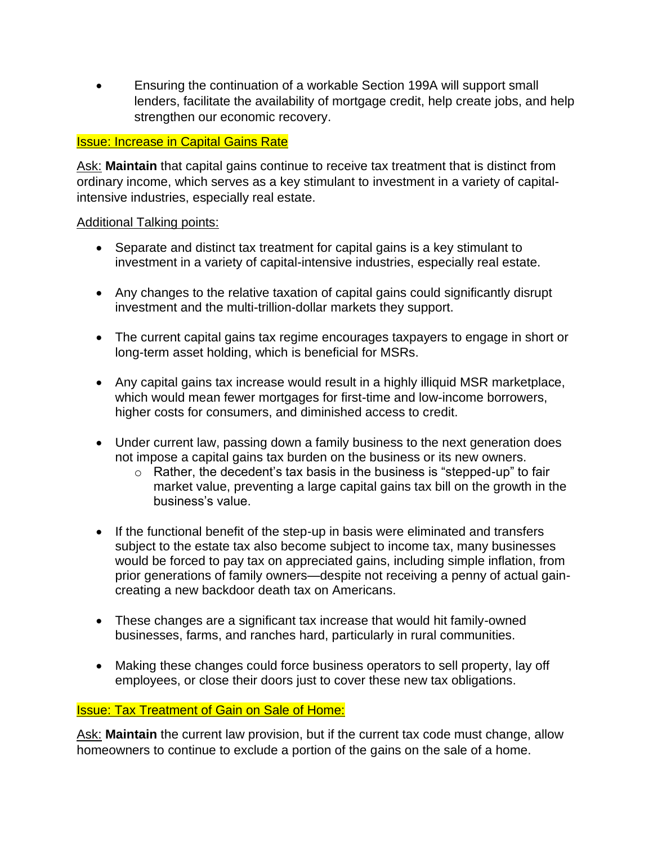• Ensuring the continuation of a workable Section 199A will support small lenders, facilitate the availability of mortgage credit, help create jobs, and help strengthen our economic recovery.

### Issue: Increase in Capital Gains Rate

Ask: **Maintain** that capital gains continue to receive tax treatment that is distinct from ordinary income, which serves as a key stimulant to investment in a variety of capitalintensive industries, especially real estate.

#### Additional Talking points:

- Separate and distinct tax treatment for capital gains is a key stimulant to investment in a variety of capital-intensive industries, especially real estate.
- Any changes to the relative taxation of capital gains could significantly disrupt investment and the multi-trillion-dollar markets they support.
- The current capital gains tax regime encourages taxpayers to engage in short or long-term asset holding, which is beneficial for MSRs.
- Any capital gains tax increase would result in a highly illiquid MSR marketplace, which would mean fewer mortgages for first-time and low-income borrowers, higher costs for consumers, and diminished access to credit.
- Under current law, passing down a family business to the next generation does not impose a capital gains tax burden on the business or its new owners.
	- o Rather, the decedent's tax basis in the business is "stepped-up" to fair market value, preventing a large capital gains tax bill on the growth in the business's value.
- If the functional benefit of the step-up in basis were eliminated and transfers subject to the estate tax also become subject to income tax, many businesses would be forced to pay tax on appreciated gains, including simple inflation, from prior generations of family owners—despite not receiving a penny of actual gaincreating a new backdoor death tax on Americans.
- These changes are a significant tax increase that would hit family-owned businesses, farms, and ranches hard, particularly in rural communities.
- Making these changes could force business operators to sell property, lay off employees, or close their doors just to cover these new tax obligations.

#### Issue: Tax Treatment of Gain on Sale of Home:

Ask: **Maintain** the current law provision, but if the current tax code must change, allow homeowners to continue to exclude a portion of the gains on the sale of a home.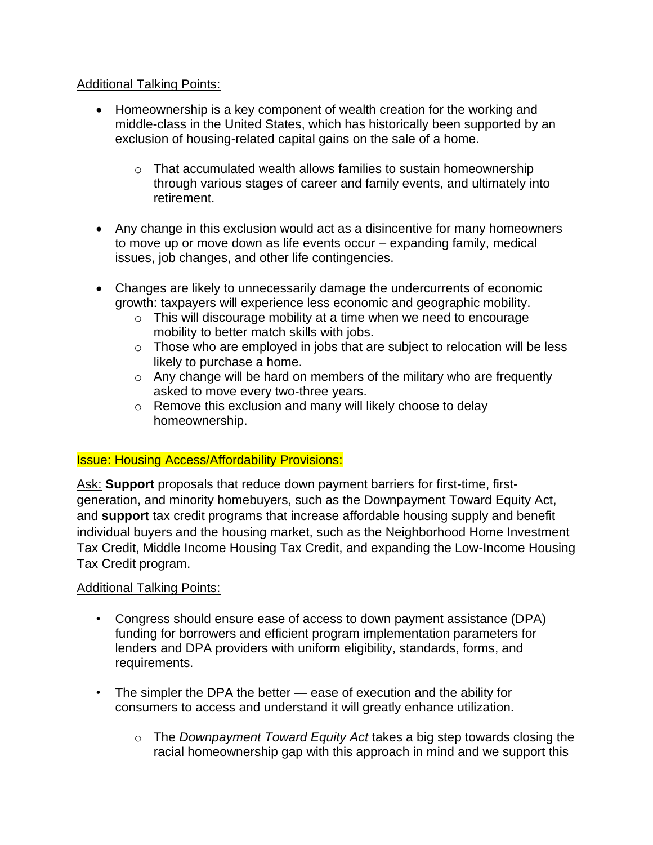## Additional Talking Points:

- Homeownership is a key component of wealth creation for the working and middle-class in the United States, which has historically been supported by an exclusion of housing-related capital gains on the sale of a home.
	- $\circ$  That accumulated wealth allows families to sustain homeownership through various stages of career and family events, and ultimately into retirement.
- Any change in this exclusion would act as a disincentive for many homeowners to move up or move down as life events occur – expanding family, medical issues, job changes, and other life contingencies.
- Changes are likely to unnecessarily damage the undercurrents of economic growth: taxpayers will experience less economic and geographic mobility.
	- o This will discourage mobility at a time when we need to encourage mobility to better match skills with jobs.
	- $\circ$  Those who are employed in jobs that are subject to relocation will be less likely to purchase a home.
	- $\circ$  Any change will be hard on members of the military who are frequently asked to move every two-three years.
	- o Remove this exclusion and many will likely choose to delay homeownership.

## Issue: Housing Access/Affordability Provisions:

Ask: **Support** proposals that reduce down payment barriers for first-time, firstgeneration, and minority homebuyers, such as the Downpayment Toward Equity Act, and **support** tax credit programs that increase affordable housing supply and benefit individual buyers and the housing market, such as the Neighborhood Home Investment Tax Credit, Middle Income Housing Tax Credit, and expanding the Low-Income Housing Tax Credit program.

#### Additional Talking Points:

- Congress should ensure ease of access to down payment assistance (DPA) funding for borrowers and efficient program implementation parameters for lenders and DPA providers with uniform eligibility, standards, forms, and requirements.
- The simpler the DPA the better ease of execution and the ability for consumers to access and understand it will greatly enhance utilization.
	- o The *Downpayment Toward Equity Act* takes a big step towards closing the racial homeownership gap with this approach in mind and we support this